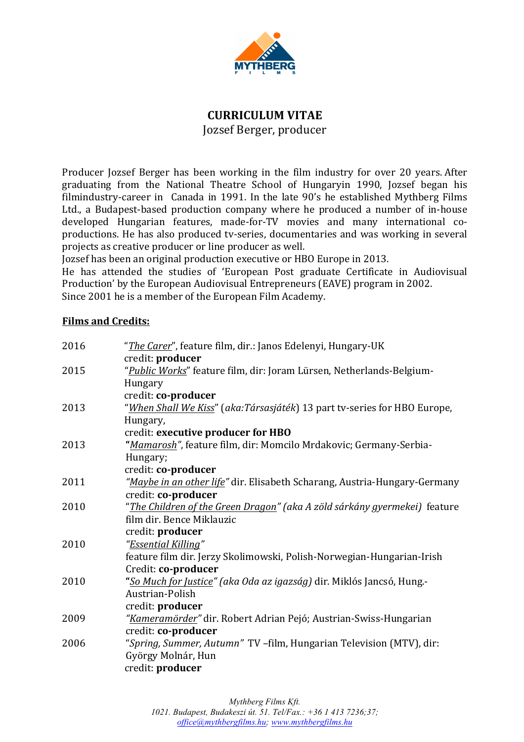

## **CURRICULUM VITAE**

Jozsef Berger, producer

Producer Jozsef Berger has been working in the film industry for over 20 years. After graduating from the National Theatre School of Hungaryin 1990, Jozsef began his filmindustry-career in Canada in 1991. In the late 90's he established Mythberg Films Ltd., a Budapest-based production company where he produced a number of in-house developed Hungarian features, made-for-TV movies and many international coproductions. He has also produced tv-series, documentaries and was working in several projects as creative producer or line producer as well.

Jozsef has been an original production executive or HBO Europe in 2013.

He has attended the studies of 'European Post graduate Certificate in Audiovisual Production' by the European Audiovisual Entrepreneurs (EAVE) program in 2002. Since 2001 he is a member of the European Film Academy.

## **Films and Credits:**

| 2016 | " <i>The Carer</i> ", feature film, dir.: Janos Edelenyi, Hungary-UK               |
|------|------------------------------------------------------------------------------------|
|      | credit: producer                                                                   |
| 2015 | "Public Works" feature film, dir: Joram Lürsen, Netherlands-Belgium-               |
|      | Hungary                                                                            |
|      | credit: co-producer                                                                |
| 2013 | "When Shall We Kiss" (aka:Társasjáték) 13 part tv-series for HBO Europe,           |
|      | Hungary,                                                                           |
|      | credit: executive producer for HBO                                                 |
| 2013 | "Mamarosh", feature film, dir: Momcilo Mrdakovic; Germany-Serbia-                  |
|      | Hungary;                                                                           |
|      | credit: co-producer                                                                |
| 2011 | "Maybe in an other life" dir. Elisabeth Scharang, Austria-Hungary-Germany          |
|      | credit: co-producer                                                                |
| 2010 | " <u>The Children of the Green Dragon</u> " (aka A zöld sárkány gyermekei) feature |
|      | film dir. Bence Miklauzic                                                          |
|      | credit: producer                                                                   |
| 2010 | "Essential Killing"                                                                |
|      | feature film dir. Jerzy Skolimowski, Polish-Norwegian-Hungarian-Irish              |
|      | Credit: co-producer                                                                |
| 2010 | "So Much for Justice" (aka Oda az igazság) dir. Miklós Jancsó, Hung.-              |
|      | Austrian-Polish                                                                    |
|      | credit: producer                                                                   |
| 2009 | "Kameramörder" dir. Robert Adrian Pejó; Austrian-Swiss-Hungarian                   |
|      | credit: co-producer                                                                |
| 2006 | "Spring, Summer, Autumn" TV -film, Hungarian Television (MTV), dir:                |
|      | György Molnár, Hun                                                                 |
|      | credit: producer                                                                   |
|      |                                                                                    |